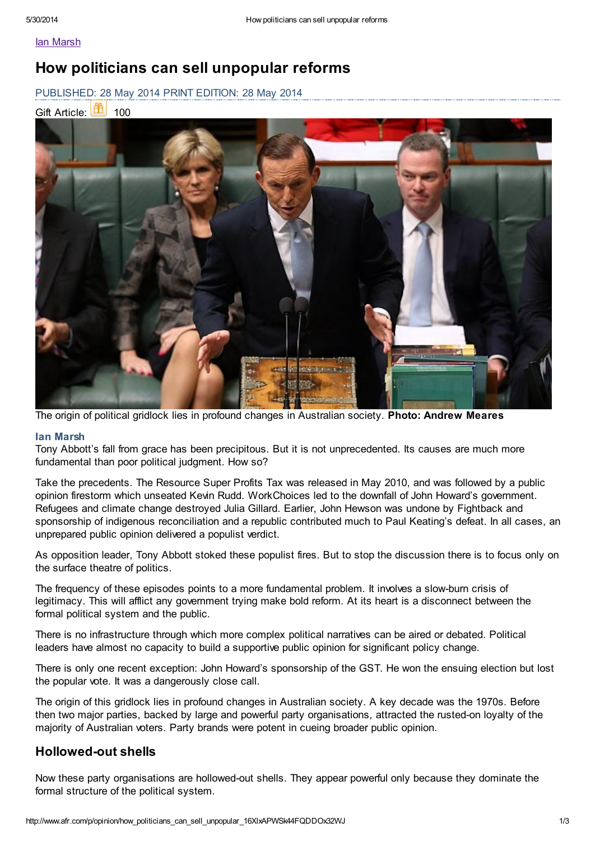Ian [Marsh](http://www.afr.com/opinion)

# How politicians can sell unpopular reforms

PUBLISHED: 28 May 2014 PRINT EDITION: 28 May 2014





The origin of political gridlock lies in profound changes in Australian society. Photo: Andrew Meares

### Ian Marsh

Tony Abbott's fall from grace has been precipitous. But it is not unprecedented. Its causes are much more fundamental than poor political judgment. How so?

Take the precedents. The Resource Super Profits Tax was released in May 2010, and was followed by a public opinion firestorm which unseated Kevin Rudd. WorkChoices led to the downfall of John Howard's government. Refugees and climate change destroyed Julia Gillard. Earlier, John Hewson was undone by Fightback and sponsorship of indigenous reconciliation and a republic contributed much to Paul Keating's defeat. In all cases, an unprepared public opinion delivered a populist verdict.

As opposition leader, Tony Abbott stoked these populist fires. But to stop the discussion there is to focus only on the surface theatre of politics.

The frequency of these episodes points to a more fundamental problem. It involves a slow-burn crisis of legitimacy. This will afflict any government trying make bold reform. At its heart is a disconnect between the formal political system and the public.

There is no infrastructure through which more complex political narratives can be aired or debated. Political leaders have almost no capacity to build a supportive public opinion for significant policy change.

There is only one recent exception: John Howard's sponsorship of the GST. He won the ensuing election but lost the popular vote. It was a dangerously close call.

The origin of this gridlock lies in profound changes in Australian society. A key decade was the 1970s. Before then two major parties, backed by large and powerful party organisations, attracted the rusted-on loyalty of the majority of Australian voters. Party brands were potent in cueing broader public opinion.

### Hollowed-out shells

Now these party organisations are hollowed-out shells. They appear powerful only because they dominate the formal structure of the political system.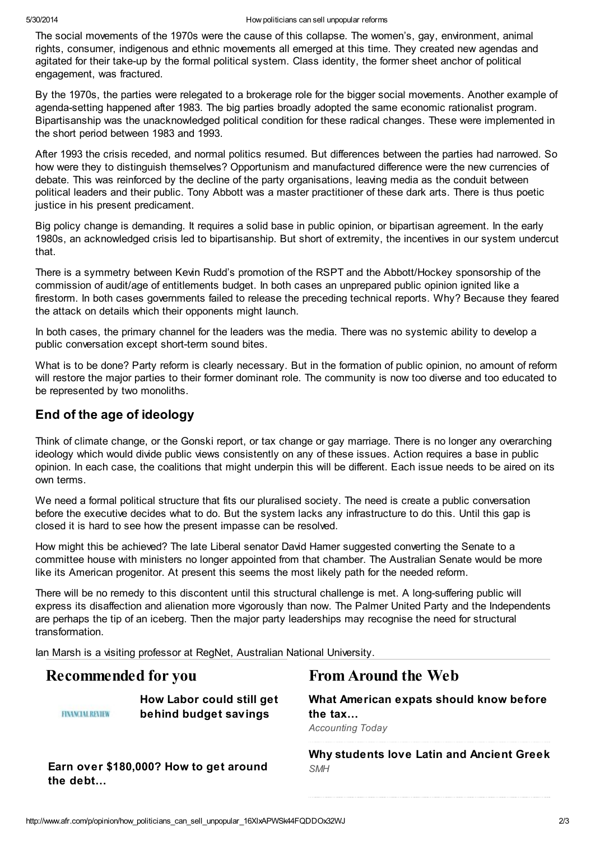The social movements of the 1970s were the cause of this collapse. The women's, gay, environment, animal rights, consumer, indigenous and ethnic movements all emerged at this time. They created new agendas and agitated for their take-up by the formal political system. Class identity, the former sheet anchor of political engagement, was fractured.

By the 1970s, the parties were relegated to a brokerage role for the bigger social movements. Another example of agenda-setting happened after 1983. The big parties broadly adopted the same economic rationalist program. Bipartisanship was the unacknowledged political condition for these radical changes. These were implemented in the short period between 1983 and 1993.

After 1993 the crisis receded, and normal politics resumed. But differences between the parties had narrowed. So how were they to distinguish themselves? Opportunism and manufactured difference were the new currencies of debate. This was reinforced by the decline of the party organisations, leaving media as the conduit between political leaders and their public. Tony Abbott was a master practitioner of these dark arts. There is thus poetic justice in his present predicament.

Big policy change is demanding. It requires a solid base in public opinion, or bipartisan agreement. In the early 1980s, an acknowledged crisis led to bipartisanship. But short of extremity, the incentives in our system undercut that.

There is a symmetry between Kevin Rudd's promotion of the RSPT and the Abbott/Hockey sponsorship of the commission of audit/age of entitlements budget. In both cases an unprepared public opinion ignited like a firestorm. In both cases governments failed to release the preceding technical reports. Why? Because they feared the attack on details which their opponents might launch.

In both cases, the primary channel for the leaders was the media. There was no systemic ability to develop a public conversation except short-term sound bites.

What is to be done? Party reform is clearly necessary. But in the formation of public opinion, no amount of reform will restore the major parties to their former dominant role. The community is now too diverse and too educated to be represented by two monoliths.

### End of the age of ideology

Think of climate change, or the Gonski report, or tax change or gay marriage. There is no longer any overarching ideology which would divide public views consistently on any of these issues. Action requires a base in public opinion. In each case, the coalitions that might underpin this will be different. Each issue needs to be aired on its own terms.

We need a formal political structure that fits our pluralised society. The need is create a public conversation before the executive decides what to do. But the system lacks any infrastructure to do this. Until this gap is closed it is hard to see how the present impasse can be resolved.

How might this be achieved? The late Liberal senator David Hamer suggested converting the Senate to a committee house with ministers no longer appointed from that chamber. The Australian Senate would be more like its American progenitor. At present this seems the most likely path for the needed reform.

There will be no remedy to this discontent until this structural challenge is met. A long-suffering public will express its disaffection and alienation more vigorously than now. The Palmer United Party and the Independents are perhaps the tip of an iceberg. Then the major party leaderships may recognise the need for structural transformation.

Ian Marsh is a visiting professor at RegNet, Australian National University.

**FINANCIAL REVIEW** 

How Labor could still get behind budget [savings](http://www.afr.com/p/opinion/how_labor_could_still_get_behind_g7XjyeveLmqyKgUHAYSZpK)

### Earn over [\\$180,000?](http://www.afr.com/p/national/earn_over_how_to_get_around_the_IfbaBRyKjbmWpUCYHpXVYJ) How to get around the debt…

## Recommended for you From Around the Web

What [American](http://www.accountingtoday.com/debits_credits/hr-block-counsels-expats-aca-tax-requirements-70762-1.html) expats should know before the tax…

Accounting Today

Why [students](http://www.smh.com.au/national/non-government-schools/students-alive-to-dead-languages-20140521-38ot5.html) love Latin and Ancient Greek **SMH**